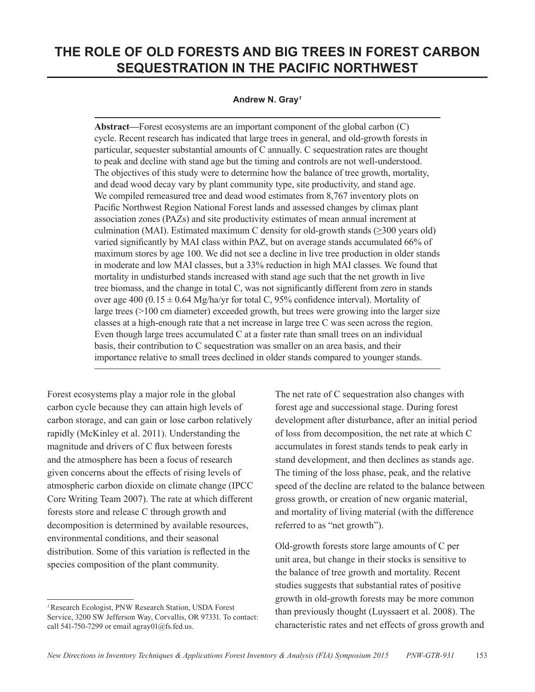# **THE ROLE OF OLD FORESTS AND BIG TREES IN FOREST CARBON SEQUESTRATION IN THE PACIFIC NORTHWEST**

#### **Andrew N. Gray***<sup>1</sup>*

**Abstract—**Forest ecosystems are an important component of the global carbon (C) cycle. Recent research has indicated that large trees in general, and old-growth forests in particular, sequester substantial amounts of C annually. C sequestration rates are thought to peak and decline with stand age but the timing and controls are not well-understood. The objectives of this study were to determine how the balance of tree growth, mortality, and dead wood decay vary by plant community type, site productivity, and stand age. We compiled remeasured tree and dead wood estimates from 8,767 inventory plots on Pacific Northwest Region National Forest lands and assessed changes by climax plant association zones (PAZs) and site productivity estimates of mean annual increment at culmination (MAI). Estimated maximum C density for old-growth stands  $(\geq 300 \text{ years old})$ varied significantly by MAI class within PAZ, but on average stands accumulated 66% of maximum stores by age 100. We did not see a decline in live tree production in older stands in moderate and low MAI classes, but a 33% reduction in high MAI classes. We found that mortality in undisturbed stands increased with stand age such that the net growth in live tree biomass, and the change in total C, was not significantly different from zero in stands over age 400 (0.15  $\pm$  0.64 Mg/ha/yr for total C, 95% confidence interval). Mortality of large trees (>100 cm diameter) exceeded growth, but trees were growing into the larger size classes at a high-enough rate that a net increase in large tree C was seen across the region. Even though large trees accumulated C at a faster rate than small trees on an individual basis, their contribution to C sequestration was smaller on an area basis, and their importance relative to small trees declined in older stands compared to younger stands.

Forest ecosystems play a major role in the global carbon cycle because they can attain high levels of carbon storage, and can gain or lose carbon relatively rapidly (McKinley et al. 2011). Understanding the magnitude and drivers of C flux between forests and the atmosphere has been a focus of research given concerns about the effects of rising levels of atmospheric carbon dioxide on climate change (IPCC Core Writing Team 2007). The rate at which different forests store and release C through growth and decomposition is determined by available resources, environmental conditions, and their seasonal distribution. Some of this variation is reflected in the species composition of the plant community.

*<sup>1</sup>*Research Ecologist, PNW Research Station, USDA Forest Service, 3200 SW Jefferson Way, Corvallis, OR 97331. To contact: call 541-750-7299 or email agray $01@$ fs.fed.us.

The net rate of C sequestration also changes with forest age and successional stage. During forest development after disturbance, after an initial period of loss from decomposition, the net rate at which C accumulates in forest stands tends to peak early in stand development, and then declines as stands age. The timing of the loss phase, peak, and the relative speed of the decline are related to the balance between gross growth, or creation of new organic material, and mortality of living material (with the difference referred to as "net growth").

Old-growth forests store large amounts of C per unit area, but change in their stocks is sensitive to the balance of tree growth and mortality. Recent studies suggests that substantial rates of positive growth in old-growth forests may be more common than previously thought (Luyssaert et al. 2008). The characteristic rates and net effects of gross growth and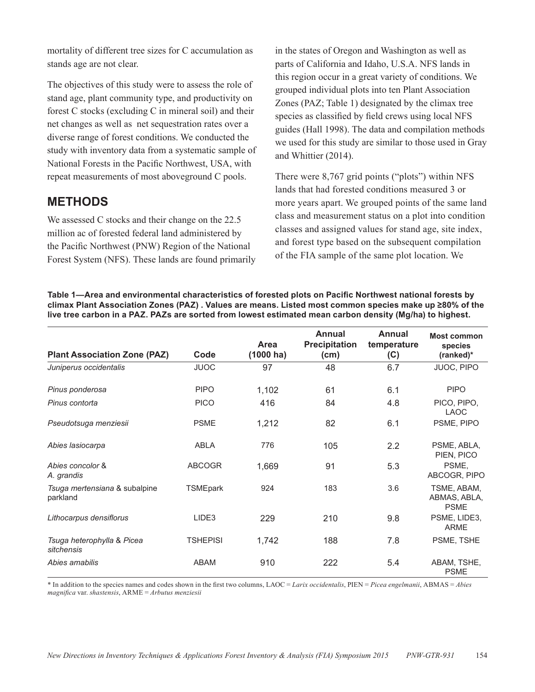mortality of different tree sizes for C accumulation as stands age are not clear.

The objectives of this study were to assess the role of stand age, plant community type, and productivity on forest C stocks (excluding C in mineral soil) and their net changes as well as net sequestration rates over a diverse range of forest conditions. We conducted the study with inventory data from a systematic sample of National Forests in the Pacific Northwest, USA, with repeat measurements of most aboveground C pools.

### **METHODS**

We assessed C stocks and their change on the 22.5 million ac of forested federal land administered by the Pacific Northwest (PNW) Region of the National Forest System (NFS). These lands are found primarily in the states of Oregon and Washington as well as parts of California and Idaho, U.S.A. NFS lands in this region occur in a great variety of conditions. We grouped individual plots into ten Plant Association Zones (PAZ; Table 1) designated by the climax tree species as classified by field crews using local NFS guides (Hall 1998). The data and compilation methods we used for this study are similar to those used in Gray and Whittier (2014).

There were 8,767 grid points ("plots") within NFS lands that had forested conditions measured 3 or more years apart. We grouped points of the same land class and measurement status on a plot into condition classes and assigned values for stand age, site index, and forest type based on the subsequent compilation of the FIA sample of the same plot location. We

**Table 1—Area and environmental characteristics of forested plots on Pacific Northwest national forests by climax Plant Association Zones (PAZ) . Values are means. Listed most common species make up ≥80% of the live tree carbon in a PAZ. PAZs are sorted from lowest estimated mean carbon density (Mg/ha) to highest.**

| <b>Plant Association Zone (PAZ)</b>       | Code            | Area<br>$(1000 \text{ ha})$ | Annual<br><b>Precipitation</b><br>(cm) | Annual<br>temperature<br>(C) | <b>Most common</b><br>species<br>(ranked)* |
|-------------------------------------------|-----------------|-----------------------------|----------------------------------------|------------------------------|--------------------------------------------|
| Juniperus occidentalis                    | <b>JUOC</b>     | 97                          | 48                                     | 6.7                          | JUOC, PIPO                                 |
| Pinus ponderosa                           | <b>PIPO</b>     | 1,102                       | 61                                     | 6.1                          | <b>PIPO</b>                                |
| Pinus contorta                            | <b>PICO</b>     | 416                         | 84                                     | 4.8                          | PICO, PIPO,<br><b>LAOC</b>                 |
| Pseudotsuga menziesii                     | <b>PSME</b>     | 1,212                       | 82                                     | 6.1                          | PSME, PIPO                                 |
| Abies lasiocarpa                          | ABLA            | 776                         | 105                                    | 2.2                          | PSME, ABLA,<br>PIEN, PICO                  |
| Abies concolor &<br>A. grandis            | <b>ABCOGR</b>   | 1,669                       | 91                                     | 5.3                          | PSME,<br>ABCOGR, PIPO                      |
| Tsuga mertensiana & subalpine<br>parkland | TSMEpark        | 924                         | 183                                    | 3.6                          | TSME, ABAM,<br>ABMAS, ABLA,<br><b>PSME</b> |
| Lithocarpus densiflorus                   | LIDE3           | 229                         | 210                                    | 9.8                          | PSME, LIDE3,<br><b>ARME</b>                |
| Tsuga heterophylla & Picea<br>sitchensis  | <b>TSHEPISI</b> | 1,742                       | 188                                    | 7.8                          | PSME, TSHE                                 |
| Abies amabilis                            | <b>ABAM</b>     | 910                         | 222                                    | 5.4                          | ABAM, TSHE,<br><b>PSME</b>                 |

\* In addition to the species names and codes shown in the first two columns, LAOC = *Larix occidentalis*, PIEN = *Picea engelmanii*, ABMAS = *Abies magnifica* var. *shastensis*, ARME = *Arbutus menziesii*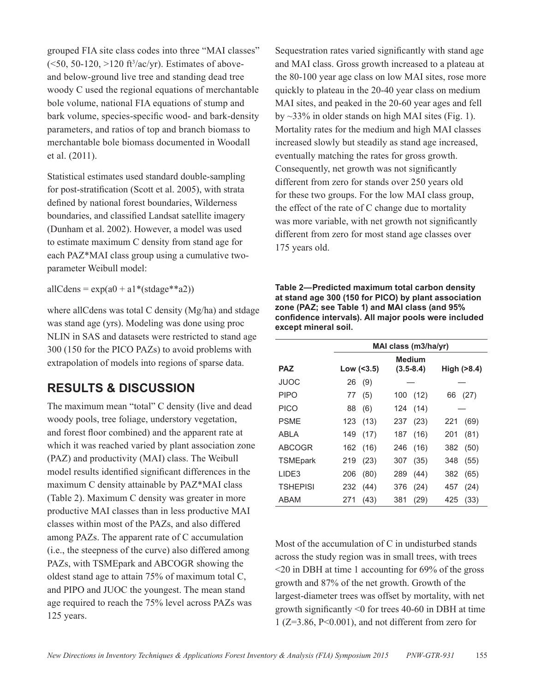grouped FIA site class codes into three "MAI classes"  $(\leq 50, 50 - 120, \leq 120 \text{ ft}^3/\text{ac/yr})$ . Estimates of aboveand below-ground live tree and standing dead tree woody C used the regional equations of merchantable bole volume, national FIA equations of stump and bark volume, species-specific wood- and bark-density parameters, and ratios of top and branch biomass to merchantable bole biomass documented in Woodall et al. (2011).

Statistical estimates used standard double-sampling for post-stratification (Scott et al. 2005), with strata defined by national forest boundaries, Wilderness boundaries, and classified Landsat satellite imagery (Dunham et al. 2002). However, a model was used to estimate maximum C density from stand age for each PAZ\*MAI class group using a cumulative twoparameter Weibull model:

allCdens =  $exp(a0 + a1*(stdage**a2))$ 

where allCdens was total C density (Mg/ha) and stdage was stand age (yrs). Modeling was done using proc NLIN in SAS and datasets were restricted to stand age 300 (150 for the PICO PAZs) to avoid problems with extrapolation of models into regions of sparse data.

# **RESULTS & DISCUSSION**

The maximum mean "total" C density (live and dead woody pools, tree foliage, understory vegetation, and forest floor combined) and the apparent rate at which it was reached varied by plant association zone (PAZ) and productivity (MAI) class. The Weibull model results identified significant differences in the maximum C density attainable by PAZ\*MAI class (Table 2). Maximum C density was greater in more productive MAI classes than in less productive MAI classes within most of the PAZs, and also differed among PAZs. The apparent rate of C accumulation (i.e., the steepness of the curve) also differed among PAZs, with TSMEpark and ABCOGR showing the oldest stand age to attain 75% of maximum total C, and PIPO and JUOC the youngest. The mean stand age required to reach the 75% level across PAZs was 125 years.

Sequestration rates varied significantly with stand age and MAI class. Gross growth increased to a plateau at the 80-100 year age class on low MAI sites, rose more quickly to plateau in the 20-40 year class on medium MAI sites, and peaked in the 20-60 year ages and fell by  $\sim$ 33% in older stands on high MAI sites (Fig. 1). Mortality rates for the medium and high MAI classes increased slowly but steadily as stand age increased, eventually matching the rates for gross growth. Consequently, net growth was not significantly different from zero for stands over 250 years old for these two groups. For the low MAI class group, the effect of the rate of C change due to mortality was more variable, with net growth not significantly different from zero for most stand age classes over 175 years old.

**Table 2—Predicted maximum total carbon density at stand age 300 (150 for PICO) by plant association zone (PAZ; see Table 1) and MAI class (and 95% confidence intervals). All major pools were included except mineral soil.**

|                 | MAI class (m3/ha/yr) |                                |               |  |  |  |
|-----------------|----------------------|--------------------------------|---------------|--|--|--|
| PAZ             | Low $(< 3.5)$        | <b>Medium</b><br>$(3.5 - 8.4)$ | High ( > 8.4) |  |  |  |
| <b>JUOC</b>     | (9)<br>26            |                                |               |  |  |  |
| <b>PIPO</b>     | 77                   | 100                            | 66            |  |  |  |
|                 | (5)                  | (12)                           | (27)          |  |  |  |
| <b>PICO</b>     | (6)<br>88            | 124<br>(14)                    |               |  |  |  |
| <b>PSME</b>     | (13)                 | (23)                           | 221           |  |  |  |
|                 | 123                  | 237                            | (69)          |  |  |  |
| ABLA            | 149                  | 187                            | 201           |  |  |  |
|                 | (17)                 | (16)                           | (81)          |  |  |  |
| <b>ABCOGR</b>   | 162                  | 246                            | 382           |  |  |  |
|                 | (16)                 | (16)                           | (50)          |  |  |  |
| <b>TSMEpark</b> | (23)                 | 307                            | (55)          |  |  |  |
|                 | 219                  | (35)                           | 348           |  |  |  |
| LIDE3           | (80)                 | 289                            | 382           |  |  |  |
|                 | 206                  | (44)                           | (65)          |  |  |  |
| <b>TSHEPISI</b> | 232                  | 376                            | (24)          |  |  |  |
|                 | (44)                 | (24)                           | 457           |  |  |  |
| ABAM            | (43)                 | (29)                           | 425           |  |  |  |
|                 | 271                  | 381                            | (33)          |  |  |  |

Most of the accumulation of C in undisturbed stands across the study region was in small trees, with trees <20 in DBH at time 1 accounting for 69% of the gross growth and 87% of the net growth. Growth of the largest-diameter trees was offset by mortality, with net growth significantly <0 for trees 40-60 in DBH at time  $1 (Z=3.86, P<0.001)$ , and not different from zero for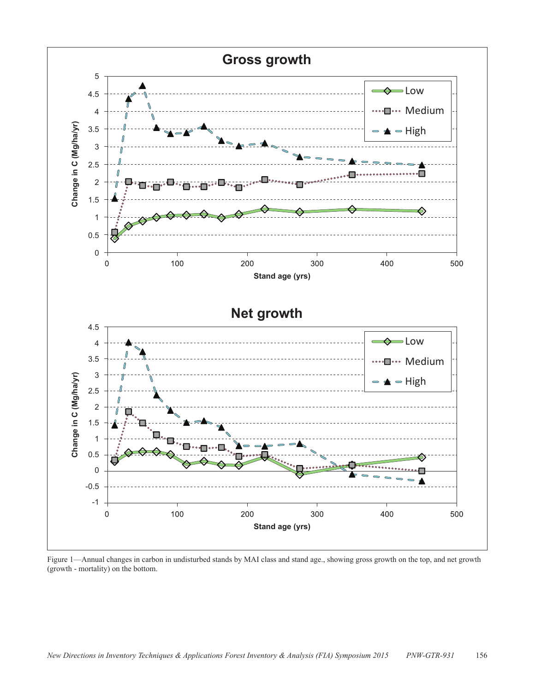

Figure 1—Annual changes in carbon in undisturbed stands by MAI class and stand age., showing gross growth on the top, and net growth (growth - mortality) on the bottom.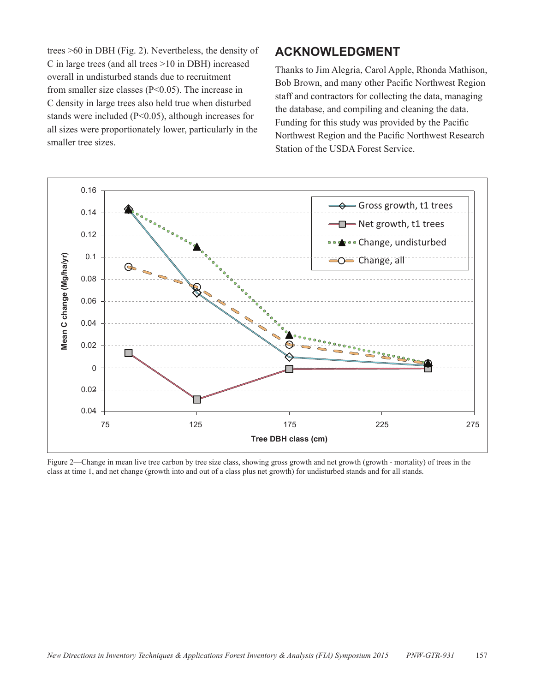trees >60 in DBH (Fig. 2). Nevertheless, the density of C in large trees (and all trees >10 in DBH) increased overall in undisturbed stands due to recruitment from smaller size classes (P<0.05). The increase in C density in large trees also held true when disturbed stands were included (P<0.05), although increases for all sizes were proportionately lower, particularly in the smaller tree sizes.

#### **ACKNOWLEDGMENT**

Thanks to Jim Alegria, Carol Apple, Rhonda Mathison, Bob Brown, and many other Pacific Northwest Region staff and contractors for collecting the data, managing the database, and compiling and cleaning the data. Funding for this study was provided by the Pacific Northwest Region and the Pacific Northwest Research Station of the USDA Forest Service.



Figure 2—Change in mean live tree carbon by tree size class, showing gross growth and net growth (growth - mortality) of trees in the class at time 1, and net change (growth into and out of a class plus net growth) for undisturbed stands and for all stands.